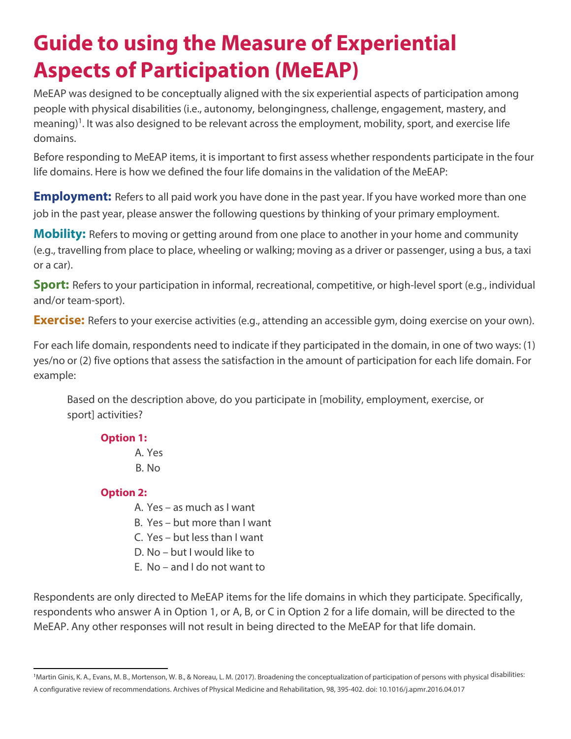## **Guide to using the Measure of Experiential Aspects of Participation (MeEAP)**

MeEAP was designed to be conceptually aligned with the six experiential aspects of participation among people with physical disabilities (i.e., autonomy, belongingness, challenge, engagement, mastery, and meaning)<sup>1</sup>. It was also designed to be relevant across the employment, mobility, sport, and exercise life domains.

Before responding to MeEAP items, it is important to first assess whether respondents participate in the four life domains. Here is how we defined the four life domains in the validation of the MeEAP:

**Employment:** Refers to all paid work you have done in the past year. If you have worked more than one job in the past year, please answer the following questions by thinking of your primary employment.

**Mobility:** Refers to moving or getting around from one place to another in your home and community (e.g., travelling from place to place, wheeling or walking; moving as a driver or passenger, using a bus, a taxi or a car).

**Sport:** Refers to your participation in informal, recreational, competitive, or high-level sport (e.g., individual and/or team-sport).

**Exercise:** Refers to your exercise activities (e.g., attending an accessible gym, doing exercise on your own).

For each life domain, respondents need to indicate if they participated in the domain, in one of two ways: (1) yes/no or (2) five options that assess the satisfaction in the amount of participation for each life domain. For example:

Based on the description above, do you participate in [mobility, employment, exercise, or sport] activities?

## **Option 1:**

A. Yes B. No

## **Option 2:**

- A. Yes as much as I want
- B. Yes but more than I want
- C. Yes but less than I want
- D. No but I would like to
- E. No and I do not want to

Respondents are only directed to MeEAP items for the life domains in which they participate. Specifically, respondents who answer A in Option 1, or A, B, or C in Option 2 for a life domain, will be directed to the MeEAP. Any other responses will not result in being directed to the MeEAP for that life domain.

<sup>&</sup>lt;sup>1</sup>Martin Ginis, K. A., Evans, M. B., Mortenson, W. B., & Noreau, L. M. (2017). Broadening the conceptualization of participation of persons with physical <sup>disabilities:</sup> A configurative review of recommendations. Archives of Physical Medicine and Rehabilitation, 98, 395-402. doi: 10.1016/j.apmr.2016.04.017